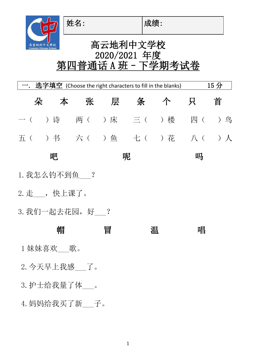姓名: |成绩:

 $\bigcap$ 

## 高云地利中文学校 高雲地利中文學校<br>Coventry Chinese School 2020/2021 年度 第四普通话 A 班 - 下学期考试卷

| 15分<br>选字填空 (Choose the right characters to fill in the blanks) |                         |  |   |            |  |   |   |  |
|-----------------------------------------------------------------|-------------------------|--|---|------------|--|---|---|--|
| 朵                                                               |                         |  |   | 本  张  层  条 |  | 只 | 首 |  |
|                                                                 | 一( )诗 两( )床 三( )楼 四( )鸟 |  |   |            |  |   |   |  |
|                                                                 | 五( )书 六( )鱼 七( )花 八( )人 |  |   |            |  |   |   |  |
|                                                                 | 吧                       |  |   | 呢          |  | 吗 |   |  |
| 1. 我怎么钓不到鱼——?                                                   |                         |  |   |            |  |   |   |  |
| 2. 走___, 快上课了。                                                  |                         |  |   |            |  |   |   |  |
| 3. 我们一起去花园,好___?                                                |                         |  |   |            |  |   |   |  |
|                                                                 | 帽                       |  | 冒 | 温          |  | 唱 |   |  |
| 1 妹妹喜欢___歌。                                                     |                         |  |   |            |  |   |   |  |
| 2. 今天早上我感___了。                                                  |                         |  |   |            |  |   |   |  |
| 3. 护士给我量了体 。                                                    |                         |  |   |            |  |   |   |  |
| 4. 妈妈给我买了新___子。                                                 |                         |  |   |            |  |   |   |  |
|                                                                 |                         |  |   |            |  |   |   |  |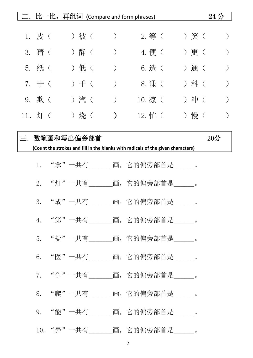|    |                        |            |       |       |                  | 二.比一比,再组词 (Compare and form phrases)                                             |       | 24 <sub>分</sub> |
|----|------------------------|------------|-------|-------|------------------|----------------------------------------------------------------------------------|-------|-----------------|
|    |                        |            |       |       |                  |                                                                                  |       |                 |
|    | $1.$ 皮 $\left(\right.$ |            |       | ) 被 ( | $\big)$          | $2.$ 等 (                                                                         | ) 笑 ( |                 |
|    | 3. 猜(                  |            |       | )静(   | $\big)$          | 4. 便 (                                                                           | ) 更 ( |                 |
|    | 5. 纸 (                 |            |       | ) 低 ( | $\left( \right)$ | 6. 造(                                                                            | ) 通 ( |                 |
|    | 7. $\pm$ (             |            |       | ) 千 ( | $\left( \right)$ | 8. 课 (                                                                           | ) 科 ( |                 |
|    | 9. 欺(                  |            | ) 汽 ( |       | $\left( \right)$ | 10. 凉 (                                                                          | )冲(   |                 |
|    | 11. $\sqrt{1}$ (       |            |       | ) 烧 ( | $\mathcal{L}$    | $12.$ 忙 (                                                                        | ) 慢 ( |                 |
| 三. |                        | 数笔画和写出偏旁部首 |       |       |                  |                                                                                  |       | $20$ 分          |
|    |                        |            |       |       |                  | (Count the strokes and fill in the blanks with radicals of the given characters) |       |                 |
|    | 1.                     |            |       |       |                  | "拿"一共有    画, 它的偏旁部首是    。                                                        |       |                 |
|    | 2.                     |            |       |       |                  | "灯"一共有    画,它的偏旁部首是   。                                                          |       |                 |
|    |                        |            |       |       |                  | 3. "成"一共有_______画, 它的偏旁部首是______。                                                |       |                 |
|    |                        |            |       |       |                  | 4. "第"一共有_______画,它的偏旁部首是______。                                                 |       |                 |
|    |                        |            |       |       |                  | 5. "盐"一共有_______画, 它的偏旁部首是______。                                                |       |                 |
|    |                        |            |       |       |                  | 6. "医"一共有 画, 它的偏旁部首是 。                                                           |       |                 |
|    |                        |            |       |       |                  | 7. "争"一共有_______画, 它的偏旁部首是______。                                                |       |                 |
|    |                        |            |       |       |                  | 8. "爬"一共有_______画, 它的偏旁部首是______。                                                |       |                 |
|    |                        |            |       |       |                  | 9. "能"一共有_______画, 它的偏旁部首是______。                                                |       |                 |
|    |                        |            |       |       |                  | 10. "弄"一共有_______画, 它的偏旁部首是______。                                               |       |                 |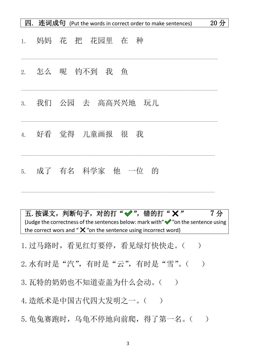| 四. |    | 连词成句 (Put the words in correct order to make sentences) | 20分 |
|----|----|---------------------------------------------------------|-----|
| 1. | 妈妈 | 花 把 花园里 在<br>种                                          |     |
| 2. |    | 怎么 呢 钓不到 我<br>鱼                                         |     |
| 3. |    | 我们 公园 去 高高兴兴地 玩儿                                        |     |
| 4. |    | 好看 觉得 儿童画报 很<br>我                                       |     |
| 5. |    | 成了 有名 科学家 他 一位<br>的                                     |     |

五. 按课文, 判断句子, 对的打"√", 错的打"×" 7分 (Judge the correctness of the sentences below: mark with " $\mathcal V$ " on the sentence using the correct wors and " $\mathsf{X}$ "on the sentence using incorrect word)

 $\_$  , and the set of the set of the set of the set of the set of the set of the set of the set of the set of the set of the set of the set of the set of the set of the set of the set of the set of the set of the set of th

1. 过马路时,看见红灯要停,看见绿灯快快走。()

2. 水有时是"汽", 有时是"云", 有时是"雪"。()

3. 瓦特的奶奶也不知道壶盖为什么会动。()

4. 造纸术是中国古代四大发明之一。()

5. 龟兔赛跑时,乌龟不停地向前爬,得了第一名。()